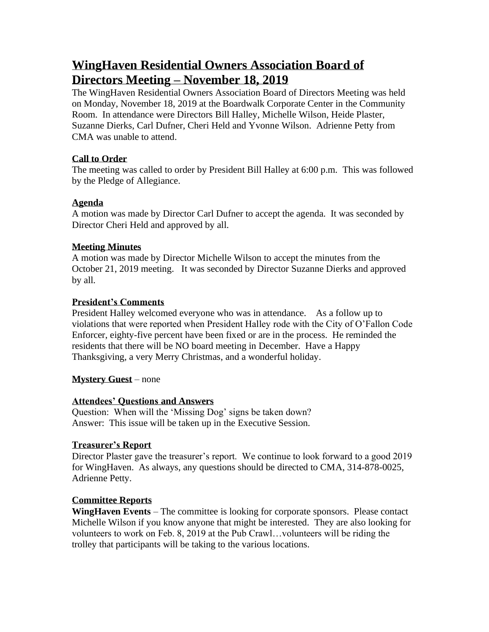# **WingHaven Residential Owners Association Board of Directors Meeting – November 18, 2019**

The WingHaven Residential Owners Association Board of Directors Meeting was held on Monday, November 18, 2019 at the Boardwalk Corporate Center in the Community Room. In attendance were Directors Bill Halley, Michelle Wilson, Heide Plaster, Suzanne Dierks, Carl Dufner, Cheri Held and Yvonne Wilson. Adrienne Petty from CMA was unable to attend.

### **Call to Order**

The meeting was called to order by President Bill Halley at 6:00 p.m. This was followed by the Pledge of Allegiance.

### **Agenda**

A motion was made by Director Carl Dufner to accept the agenda. It was seconded by Director Cheri Held and approved by all.

### **Meeting Minutes**

A motion was made by Director Michelle Wilson to accept the minutes from the October 21, 2019 meeting. It was seconded by Director Suzanne Dierks and approved by all.

### **President's Comments**

President Halley welcomed everyone who was in attendance. As a follow up to violations that were reported when President Halley rode with the City of O'Fallon Code Enforcer, eighty-five percent have been fixed or are in the process. He reminded the residents that there will be NO board meeting in December. Have a Happy Thanksgiving, a very Merry Christmas, and a wonderful holiday.

# **Mystery Guest** – none

### **Attendees' Questions and Answers**

Question: When will the 'Missing Dog' signs be taken down? Answer: This issue will be taken up in the Executive Session.

# **Treasurer's Report**

Director Plaster gave the treasurer's report. We continue to look forward to a good 2019 for WingHaven. As always, any questions should be directed to CMA, 314-878-0025, Adrienne Petty.

# **Committee Reports**

**WingHaven Events** – The committee is looking for corporate sponsors. Please contact Michelle Wilson if you know anyone that might be interested. They are also looking for volunteers to work on Feb. 8, 2019 at the Pub Crawl…volunteers will be riding the trolley that participants will be taking to the various locations.